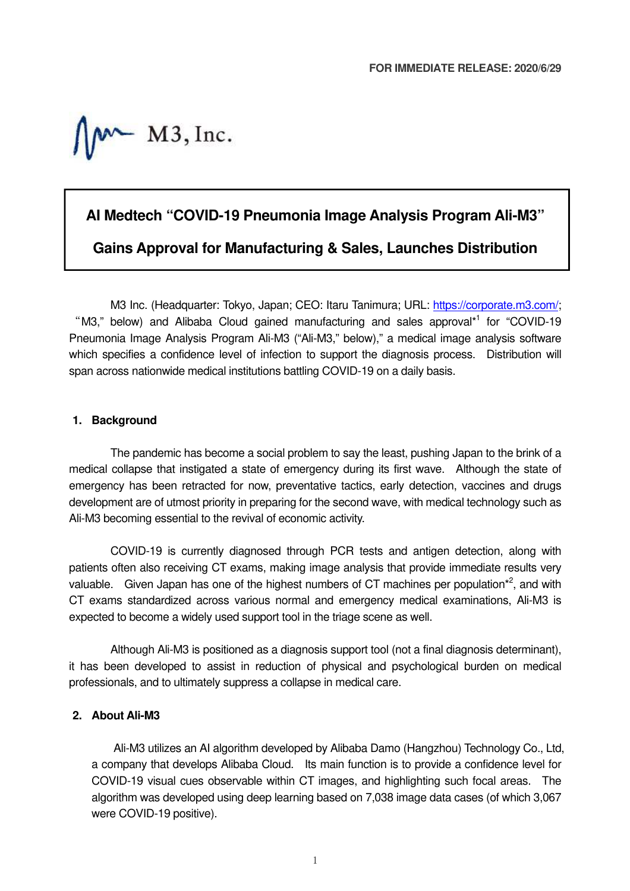$M \sim M3$ , Inc.

## **AI Medtech "COVID-19 Pneumonia Image Analysis Program Ali-M3"**

**Gains Approval for Manufacturing & Sales, Launches Distribution** 

M3 Inc. (Headquarter: Tokyo, Japan; CEO: Itaru Tanimura; URL: https://corporate.m3.com/; "M3," below) and Alibaba Cloud gained manufacturing and sales approval\*<sup>1</sup> for "COVID-19 Pneumonia Image Analysis Program Ali-M3 ("Ali-M3," below)," a medical image analysis software which specifies a confidence level of infection to support the diagnosis process. Distribution will span across nationwide medical institutions battling COVID-19 on a daily basis.

## **1. Background**

The pandemic has become a social problem to say the least, pushing Japan to the brink of a medical collapse that instigated a state of emergency during its first wave. Although the state of emergency has been retracted for now, preventative tactics, early detection, vaccines and drugs development are of utmost priority in preparing for the second wave, with medical technology such as Ali-M3 becoming essential to the revival of economic activity.

COVID-19 is currently diagnosed through PCR tests and antigen detection, along with patients often also receiving CT exams, making image analysis that provide immediate results very valuable. Given Japan has one of the highest numbers of CT machines per population $*^2$ , and with CT exams standardized across various normal and emergency medical examinations, Ali-M3 is expected to become a widely used support tool in the triage scene as well.

Although Ali-M3 is positioned as a diagnosis support tool (not a final diagnosis determinant), it has been developed to assist in reduction of physical and psychological burden on medical professionals, and to ultimately suppress a collapse in medical care.

## **2. About Ali-M3**

Ali-M3 utilizes an AI algorithm developed by Alibaba Damo (Hangzhou) Technology Co., Ltd, a company that develops Alibaba Cloud. Its main function is to provide a confidence level for COVID-19 visual cues observable within CT images, and highlighting such focal areas. The algorithm was developed using deep learning based on 7,038 image data cases (of which 3,067 were COVID-19 positive).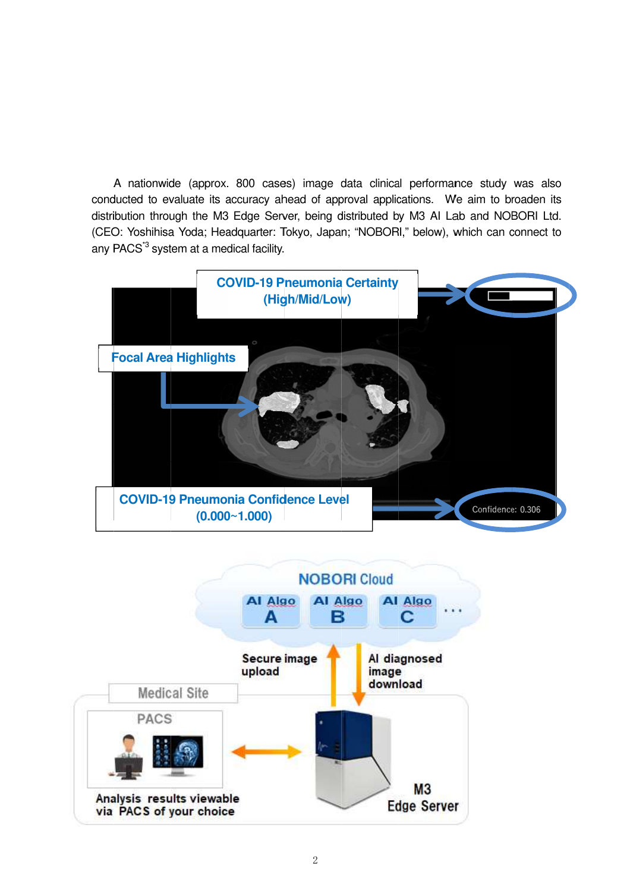A nationwide (approx. 800 cases) image data clinical performance study was also conducted to evaluate its accuracy ahead of approval applications. We aim to broaden its conducted to evaluate its accuracy ahead of approval applications. We aim to broaden its<br>distribution through the M3 Edge Server, being distributed by M3 AI Lab and NOBORI Ltd. (CEO: Yoshihisa Yoda; any PACS<sup>3</sup> system at a medical facility. distribution through the M3 Edge Serv<br>(CEO: Yoshihisa Yoda; Headquarter: Tr<br>any PACS<sup>\*3</sup> system at a medical facility. M3 Edge Server, being distributed by M3 AI Lab and NOBORI Ltd.<br>Headquarter: Tokyo, Japan; "NOBORI," below), which can connect to